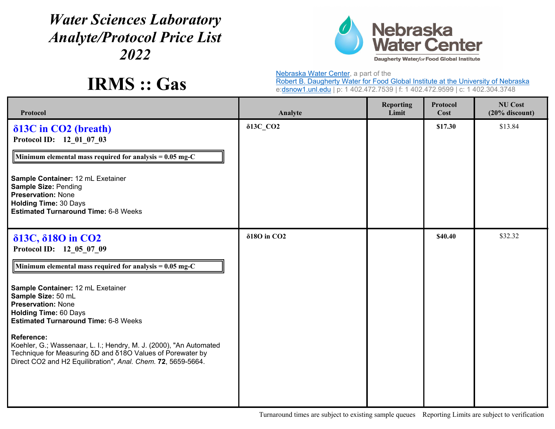## *Water Sciences Laboratory Analyte/Protocol Price List 2022*



**IRMS :: Gas**

Nebraska Water Center, a part of the

Robert B. Daugherty Water for Food Global Institute at the University of Nebraska e:<u>dsnow1.unl.edu</u> | p: 1 402.472.7539 | f: 1 402.472.9599 | c: 1 402.304.3748

| Protocol                                                                                                                                                                                                                                                                                                                                                                                                                                                                                                                | Analyte                         | <b>Reporting</b><br>Limit | Protocol<br>Cost | <b>NU Cost</b><br>$(20\%$ discount) |
|-------------------------------------------------------------------------------------------------------------------------------------------------------------------------------------------------------------------------------------------------------------------------------------------------------------------------------------------------------------------------------------------------------------------------------------------------------------------------------------------------------------------------|---------------------------------|---------------------------|------------------|-------------------------------------|
| $\delta$ 13C in CO2 (breath)<br>Protocol ID: 12 01 07 03<br>Minimum elemental mass required for analysis = $0.05$ mg-C<br>Sample Container: 12 mL Exetainer<br><b>Sample Size: Pending</b><br><b>Preservation: None</b><br><b>Holding Time: 30 Days</b><br><b>Estimated Turnaround Time: 6-8 Weeks</b>                                                                                                                                                                                                                  | 813С СО2                        |                           | \$17.30          | \$13.84                             |
| δ13C, δ18O in CO <sub>2</sub><br>Protocol ID: 12 05 07 09<br>Minimum elemental mass required for analysis = $0.05$ mg-C<br>Sample Container: 12 mL Exetainer<br>Sample Size: 50 mL<br><b>Preservation: None</b><br><b>Holding Time: 60 Days</b><br><b>Estimated Turnaround Time: 6-8 Weeks</b><br><b>Reference:</b><br>Koehler, G.; Wassenaar, L. I.; Hendry, M. J. (2000), "An Automated<br>Technique for Measuring δD and δ18O Values of Porewater by<br>Direct CO2 and H2 Equilibration", Anal. Chem. 72, 5659-5664. | $\delta$ 180 in CO <sub>2</sub> |                           | \$40.40          | \$32.32                             |